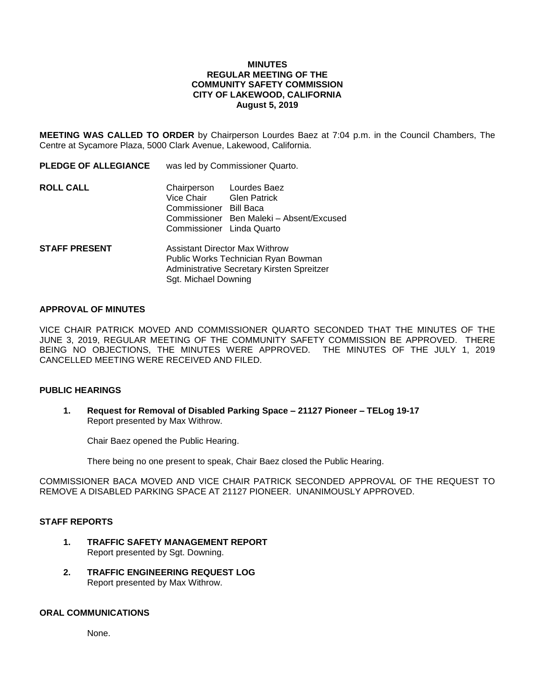## **MINUTES REGULAR MEETING OF THE COMMUNITY SAFETY COMMISSION CITY OF LAKEWOOD, CALIFORNIA August 5, 2019**

**MEETING WAS CALLED TO ORDER** by Chairperson Lourdes Baez at 7:04 p.m. in the Council Chambers, The Centre at Sycamore Plaza, 5000 Clark Avenue, Lakewood, California.

| <b>PLEDGE OF ALLEGIANCE</b> | was led by Commissioner Quarto.                                                                                                                    |                                                                                 |
|-----------------------------|----------------------------------------------------------------------------------------------------------------------------------------------------|---------------------------------------------------------------------------------|
| <b>ROLL CALL</b>            | Chairperson<br>Vice Chair<br>Commissioner Bill Baca<br>Commissioner Linda Quarto                                                                   | Lourdes Baez<br><b>Glen Patrick</b><br>Commissioner Ben Maleki - Absent/Excused |
| <b>STAFF PRESENT</b>        | <b>Assistant Director Max Withrow</b><br>Public Works Technician Ryan Bowman<br>Administrative Secretary Kirsten Spreitzer<br>Sgt. Michael Downing |                                                                                 |

### **APPROVAL OF MINUTES**

VICE CHAIR PATRICK MOVED AND COMMISSIONER QUARTO SECONDED THAT THE MINUTES OF THE JUNE 3, 2019, REGULAR MEETING OF THE COMMUNITY SAFETY COMMISSION BE APPROVED. THERE BEING NO OBJECTIONS, THE MINUTES WERE APPROVED. THE MINUTES OF THE JULY 1, 2019 CANCELLED MEETING WERE RECEIVED AND FILED.

### **PUBLIC HEARINGS**

**1. Request for Removal of Disabled Parking Space – 21127 Pioneer – TELog 19-17** Report presented by Max Withrow.

Chair Baez opened the Public Hearing.

There being no one present to speak, Chair Baez closed the Public Hearing.

COMMISSIONER BACA MOVED AND VICE CHAIR PATRICK SECONDED APPROVAL OF THE REQUEST TO REMOVE A DISABLED PARKING SPACE AT 21127 PIONEER. UNANIMOUSLY APPROVED.

#### **STAFF REPORTS**

- **1. TRAFFIC SAFETY MANAGEMENT REPORT** Report presented by Sgt. Downing.
- **2. TRAFFIC ENGINEERING REQUEST LOG** Report presented by Max Withrow.

#### **ORAL COMMUNICATIONS**

None.